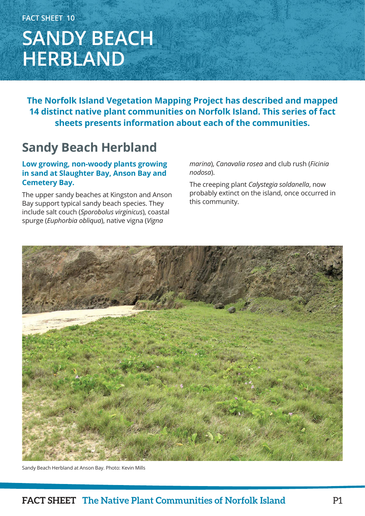## **FACT SHEET 10 SANDY BEACH HERBLAND**

**The Norfolk Island Vegetation Mapping Project has described and mapped 14 distinct native plant communities on Norfolk Island. This series of fact sheets presents information about each of the communities.**

### **Sandy Beach Herbland**

### **Low growing, non-woody plants growing in sand at Slaughter Bay, Anson Bay and Cemetery Bay.**

The upper sandy beaches at Kingston and Anson Bay support typical sandy beach species. They include salt couch (*Sporobolus virginicus*), coastal spurge (*Euphorbia obliqua*), native vigna (*Vigna* 

*marina*), *Canavalia rosea* and club rush (*Ficinia nodosa*).

The creeping plant *Calystegia soldanella*, now probably extinct on the island, once occurred in this community.



Sandy Beach Herbland at Anson Bay. Photo: Kevin Mills